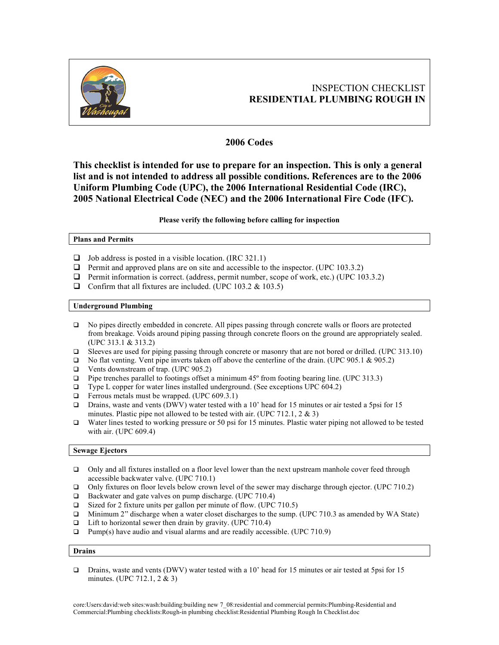

# INSPECTION CHECKLIST **RESIDENTIAL PLUMBING ROUGH IN**

# **2006 Codes**

**This checklist is intended for use to prepare for an inspection. This is only a general list and is not intended to address all possible conditions. References are to the 2006 Uniform Plumbing Code (UPC), the 2006 International Residential Code (IRC), 2005 National Electrical Code (NEC) and the 2006 International Fire Code (IFC).**

# **Please verify the following before calling for inspection**

# **Plans and Permits**

- $\Box$  Job address is posted in a visible location. (IRC 321.1)
- $\Box$  Permit and approved plans are on site and accessible to the inspector. (UPC 103.3.2)
- **Permit information is correct.** (address, permit number, scope of work, etc.) (UPC 103.3.2)
- Confirm that all fixtures are included. (UPC 103.2  $& 103.5$ )

# **Underground Plumbing**

- $\Box$  No pipes directly embedded in concrete. All pipes passing through concrete walls or floors are protected from breakage. Voids around piping passing through concrete floors on the ground are appropriately sealed. (UPC 313.1 & 313.2)
- □ Sleeves are used for piping passing through concrete or masonry that are not bored or drilled. (UPC 313.10)
- No flat venting. Vent pipe inverts taken off above the centerline of the drain. (UPC 905.1 & 905.2)
- Vents downstream of trap. (UPC 905.2)
- **Pipe trenches parallel to footings offset a minimum 45° from footing bearing line.** (UPC 313.3)
- $\Box$  Type L copper for water lines installed underground. (See exceptions UPC 604.2)
- $\Box$  Ferrous metals must be wrapped. (UPC 609.3.1)
- Drains, waste and vents (DWV) water tested with a 10' head for 15 minutes or air tested a 5psi for 15 minutes. Plastic pipe not allowed to be tested with air. (UPC 712.1,  $2 \& 3$ )
- Water lines tested to working pressure or 50 psi for 15 minutes. Plastic water piping not allowed to be tested with air. (UPC 609.4)

# **Sewage Ejectors**

- Only and all fixtures installed on a floor level lower than the next upstream manhole cover feed through accessible backwater valve. (UPC 710.1)
- Only fixtures on floor levels below crown level of the sewer may discharge through ejector. (UPC 710.2)
- □ Backwater and gate valves on pump discharge. (UPC 710.4)
- $\Box$  Sized for 2 fixture units per gallon per minute of flow. (UPC 710.5)
- Minimum 2" discharge when a water closet discharges to the sump. (UPC 710.3 as amended by WA State)
- $\Box$  Lift to horizontal sewer then drain by gravity. (UPC 710.4)
- $\Box$  Pump(s) have audio and visual alarms and are readily accessible. (UPC 710.9)

# **Drains**

 Drains, waste and vents (DWV) water tested with a 10' head for 15 minutes or air tested at 5psi for 15 minutes. (UPC 712.1, 2 & 3)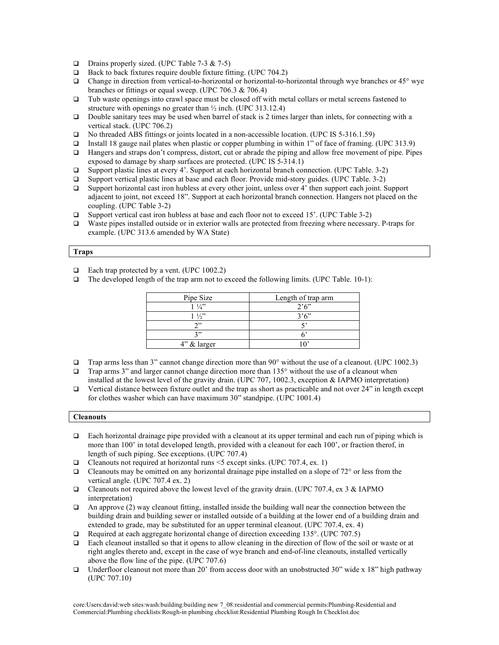- $\Box$  Drains properly sized. (UPC Table 7-3 & 7-5)
- □ Back to back fixtures require double fixture fitting. (UPC 704.2)
- Change in direction from vertical-to-horizontal or horizontal-to-horizontal through wye branches or 45° wye branches or fittings or equal sweep. (UPC 706.3 & 706.4)
- $\Box$  Tub waste openings into crawl space must be closed off with metal collars or metal screens fastened to structure with openings no greater than ½ inch. (UPC 313.12.4)
- Double sanitary tees may be used when barrel of stack is 2 times larger than inlets, for connecting with a vertical stack. (UPC 706.2)
- □ No threaded ABS fittings or joints located in a non-accessible location. (UPC IS 5-316.1.59)
- Install 18 gauge nail plates when plastic or copper plumbing in within 1" of face of framing. (UPC 313.9)
- Hangers and straps don't compress, distort, cut or abrade the piping and allow free movement of pipe. Pipes exposed to damage by sharp surfaces are protected. (UPC IS 5-314.1)
- $\Box$  Support plastic lines at every 4'. Support at each horizontal branch connection. (UPC Table. 3-2)
- Support vertical plastic lines at base and each floor. Provide mid-story guides. (UPC Table. 3-2)
- $\Box$  Support horizontal cast iron hubless at every other joint, unless over 4' then support each joint. Support adjacent to joint, not exceed 18". Support at each horizontal branch connection. Hangers not placed on the coupling. (UPC Table 3-2)
- □ Support vertical cast iron hubless at base and each floor not to exceed 15'. (UPC Table 3-2)
- Waste pipes installed outside or in exterior walls are protected from freezing where necessary. P-traps for example. (UPC 313.6 amended by WA State)

#### **Traps**

- $\Box$  Each trap protected by a vent. (UPC 1002.2)
- $\Box$  The developed length of the trap arm not to exceed the following limits. (UPC Table. 10-1):

| Pipe Size      | Length of trap arm |
|----------------|--------------------|
| $1\frac{1}{4}$ | 2.6"               |
| $1\frac{1}{2}$ | 3'6''              |
| ጎ"             |                    |
| ייר            |                    |
| $4"$ & larger  |                    |

- Trap arms less than 3" cannot change direction more than  $90^{\circ}$  without the use of a cleanout. (UPC 1002.3)
- **Trap arms 3" and larger cannot change direction more than 135° without the use of a cleanout when** installed at the lowest level of the gravity drain. (UPC 707, 1002.3, exception & IAPMO interpretation)
- $\Box$  Vertical distance between fixture outlet and the trap as short as practicable and not over 24" in length except for clothes washer which can have maximum 30" standpipe. (UPC 1001.4)

# **Cleanouts**

- $\Box$  Each horizontal drainage pipe provided with a cleanout at its upper terminal and each run of piping which is more than 100' in total developed length, provided with a cleanout for each 100', or fraction therof, in length of such piping. See exceptions. (UPC 707.4)
- $\Box$  Cleanouts not required at horizontal runs <5 except sinks. (UPC 707.4, ex. 1)
- $\Box$  Cleanouts may be omitted on any horizontal drainage pipe installed on a slope of 72° or less from the vertical angle. (UPC 707.4 ex. 2)
- Cleanouts not required above the lowest level of the gravity drain. (UPC 707.4, ex 3  $\&$  IAPMO interpretation)
- $\Box$  An approve (2) way cleanout fitting, installed inside the building wall near the connection between the building drain and building sewer or installed outside of a building at the lower end of a building drain and extended to grade, may be substituted for an upper terminal cleanout. (UPC 707.4, ex. 4)
- □ Required at each aggregate horizontal change of direction exceeding 135°. (UPC 707.5)
- Each cleanout installed so that it opens to allow cleaning in the direction of flow of the soil or waste or at right angles thereto and, except in the case of wye branch and end-of-line cleanouts, installed vertically above the flow line of the pipe. (UPC 707.6)
- □ Underfloor cleanout not more than 20' from access door with an unobstructed 30" wide x 18" high pathway (UPC 707.10)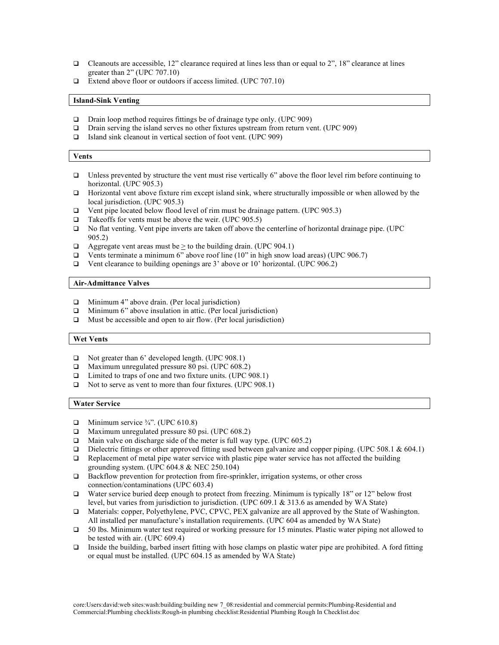- $\Box$  Cleanouts are accessible, 12" clearance required at lines less than or equal to 2", 18" clearance at lines greater than 2" (UPC 707.10)
- Extend above floor or outdoors if access limited. (UPC 707.10)

#### **Island-Sink Venting**

- $\Box$  Drain loop method requires fittings be of drainage type only. (UPC 909)
- Drain serving the island serves no other fixtures upstream from return vent. (UPC 909)
- □ Island sink cleanout in vertical section of foot vent. (UPC 909)

# **Vents**

- $\Box$  Unless prevented by structure the vent must rise vertically 6" above the floor level rim before continuing to horizontal. (UPC 905.3)
- $\Box$  Horizontal vent above fixture rim except island sink, where structurally impossible or when allowed by the local jurisdiction. (UPC 905.3)
- $\Box$  Vent pipe located below flood level of rim must be drainage pattern. (UPC 905.3)
- $\Box$  Takeoffs for vents must be above the weir. (UPC 905.5)
- No flat venting. Vent pipe inverts are taken off above the centerline of horizontal drainage pipe. (UPC 905.2)
- $\Box$  Aggregate vent areas must be  $\geq$  to the building drain. (UPC 904.1)
- $\Box$  Vents terminate a minimum 6" above roof line (10" in high snow load areas) (UPC 906.7)
- $\Box$  Vent clearance to building openings are 3' above or 10' horizontal. (UPC 906.2)

#### **Air-Admittance Valves**

- $\Box$  Minimum 4" above drain. (Per local jurisdiction)
- $\Box$  Minimum 6" above insulation in attic. (Per local jurisdiction)
- $\Box$  Must be accessible and open to air flow. (Per local jurisdiction)

#### **Wet Vents**

- □ Not greater than 6' developed length. (UPC 908.1)
- Maximum unregulated pressure 80 psi. (UPC 608.2)
- $\Box$  Limited to traps of one and two fixture units. (UPC 908.1)
- □ Not to serve as vent to more than four fixtures. (UPC 908.1)

#### **Water Service**

- $\Box$  Minimum service  $\frac{3}{4}$ . (UPC 610.8)
- Maximum unregulated pressure 80 psi. (UPC 608.2)
- $\Box$  Main valve on discharge side of the meter is full way type. (UPC 605.2)
- Dielectric fittings or other approved fitting used between galvanize and copper piping. (UPC 508.1 & 604.1)
- $\Box$  Replacement of metal pipe water service with plastic pipe water service has not affected the building grounding system. (UPC  $604.8 \& \text{NEC } 250.104$ )
- Backflow prevention for protection from fire-sprinkler, irrigation systems, or other cross connection/contaminations (UPC 603.4)
- □ Water service buried deep enough to protect from freezing. Minimum is typically 18" or 12" below frost level, but varies from jurisdiction to jurisdiction. (UPC 609.1 & 313.6 as amended by WA State)
- □ Materials: copper, Polyethylene, PVC, CPVC, PEX galvanize are all approved by the State of Washington. All installed per manufacture's installation requirements. (UPC 604 as amended by WA State)
- $\Box$  50 lbs. Minimum water test required or working pressure for 15 minutes. Plastic water piping not allowed to be tested with air. (UPC 609.4)
- Inside the building, barbed insert fitting with hose clamps on plastic water pipe are prohibited. A ford fitting or equal must be installed. (UPC 604.15 as amended by WA State)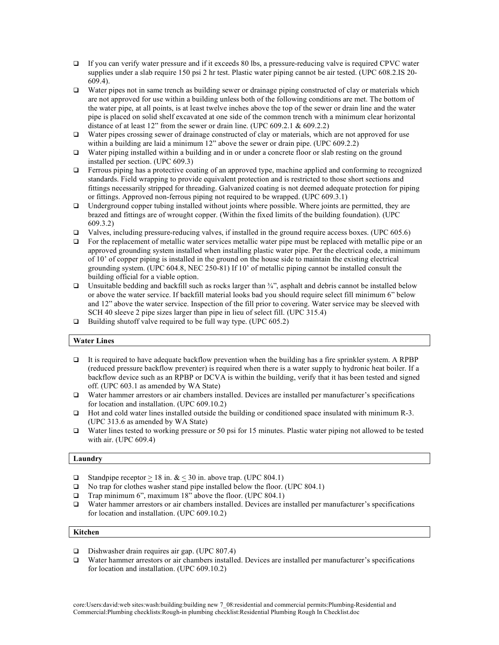- If you can verify water pressure and if it exceeds 80 lbs, a pressure-reducing valve is required CPVC water supplies under a slab require 150 psi 2 hr test. Plastic water piping cannot be air tested. (UPC 608.2.IS 20- 609.4).
- Water pipes not in same trench as building sewer or drainage piping constructed of clay or materials which are not approved for use within a building unless both of the following conditions are met. The bottom of the water pipe, at all points, is at least twelve inches above the top of the sewer or drain line and the water pipe is placed on solid shelf excavated at one side of the common trench with a minimum clear horizontal distance of at least 12" from the sewer or drain line. (UPC 609.2.1 & 609.2.2)
- Water pipes crossing sewer of drainage constructed of clay or materials, which are not approved for use within a building are laid a minimum 12" above the sewer or drain pipe. (UPC 609.2.2)
- Water piping installed within a building and in or under a concrete floor or slab resting on the ground installed per section. (UPC 609.3)
- $\Box$  Ferrous piping has a protective coating of an approved type, machine applied and conforming to recognized standards. Field wrapping to provide equivalent protection and is restricted to those short sections and fittings necessarily stripped for threading. Galvanized coating is not deemed adequate protection for piping or fittings. Approved non-ferrous piping not required to be wrapped. (UPC 609.3.1)
- $\Box$  Underground copper tubing installed without joints where possible. Where joints are permitted, they are brazed and fittings are of wrought copper. (Within the fixed limits of the building foundation). (UPC 609.3.2)
- $\Box$  Valves, including pressure-reducing valves, if installed in the ground require access boxes. (UPC 605.6)
- $\Box$  For the replacement of metallic water services metallic water pipe must be replaced with metallic pipe or an approved grounding system installed when installing plastic water pipe. Per the electrical code, a minimum of 10' of copper piping is installed in the ground on the house side to maintain the existing electrical grounding system. (UPC 604.8, NEC 250-81) If 10' of metallic piping cannot be installed consult the building official for a viable option.
- □ Unsuitable bedding and backfill such as rocks larger than  $\frac{3}{4}$ , asphalt and debris cannot be installed below or above the water service. If backfill material looks bad you should require select fill minimum 6" below and 12" above the water service. Inspection of the fill prior to covering. Water service may be sleeved with SCH 40 sleeve 2 pipe sizes larger than pipe in lieu of select fill. (UPC 315.4)
- $\Box$  Building shutoff valve required to be full way type. (UPC 605.2)

# **Water Lines**

- It is required to have adequate backflow prevention when the building has a fire sprinkler system. A RPBP (reduced pressure backflow preventer) is required when there is a water supply to hydronic heat boiler. If a backflow device such as an RPBP or DCVA is within the building, verify that it has been tested and signed off. (UPC 603.1 as amended by WA State)
- Water hammer arrestors or air chambers installed. Devices are installed per manufacturer's specifications for location and installation. (UPC 609.10.2)
- $\Box$  Hot and cold water lines installed outside the building or conditioned space insulated with minimum R-3. (UPC 313.6 as amended by WA State)
- Water lines tested to working pressure or 50 psi for 15 minutes. Plastic water piping not allowed to be tested with air. (UPC 609.4)

#### **Laundry**

- Standpipe receptor  $> 18$  in.  $< 30$  in. above trap. (UPC 804.1)
- □ No trap for clothes washer stand pipe installed below the floor. (UPC 804.1)
- $\Box$  Trap minimum 6", maximum 18" above the floor. (UPC 804.1)
- Water hammer arrestors or air chambers installed. Devices are installed per manufacturer's specifications for location and installation. (UPC 609.10.2)

# **Kitchen**

- Dishwasher drain requires air gap. (UPC 807.4)
- Water hammer arrestors or air chambers installed. Devices are installed per manufacturer's specifications for location and installation. (UPC 609.10.2)